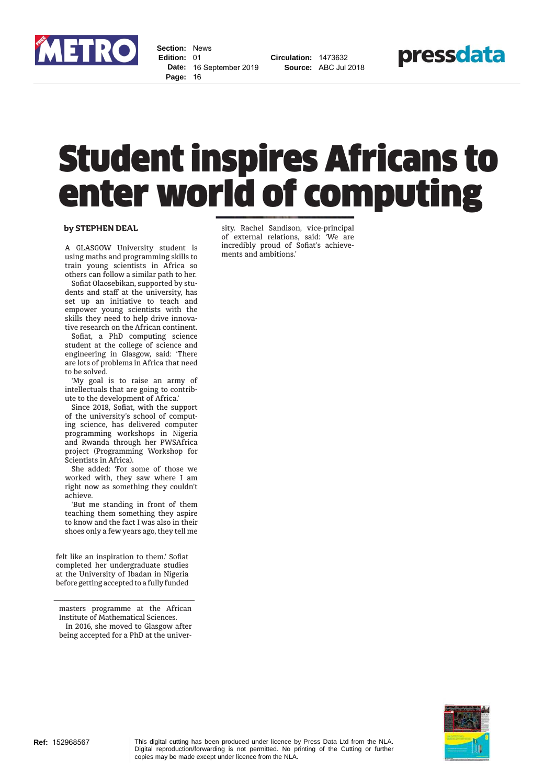

**Section:** News **Edition:** 01 **Date:** 16 September 2019 **Page:** 16

**Circulation:** 1473632 **Source:** ABC Jul 2018



## Student inspires Africans to enter world of computing

## by STEPHEN DEAL

A GLASGOW University student is using maths and programming skills to train young scientists in Africa so others can follow a similar path to her.

Sofiat Olaosebikan, supported by students and staff at the university, has set up an initiative to teach and empower young scientists with the skills they need to help drive innovative research on the African continent.

Sofiat, a PhD computing science student at the college of science and engineering in Glasgow, said: 'There are lots of problems in Africa that need to be solved.

'My goal is to raise an army of intellectuals that are going to contribute to the development of Africa.'

Since 2018, Sofiat, with the support of the university's school of computing science, has delivered computer programming workshops in Nigeria and Rwanda through her PWSAfrica project (Programming Workshop for Scientists in Africa).

She added: 'For some of those we worked with, they saw where I am right now as something they couldn't achieve.

'But me standing in front of them teaching them something they aspire to know and the fact I was also in their shoes only a few years ago, they tell me

felt like an inspiration to them.' Sofiat completed her undergraduate studies at the University of Ibadan in Nigeria before getting accepted to a fully funded

masters programme at the African Institute of Mathematical Sciences. In 2016, she moved to Glasgow after being accepted for a PhD at the university. Rachel Sandison, vice-principal of external relations, said: 'We are incredibly proud of Sofiat's achievements and ambitions.'